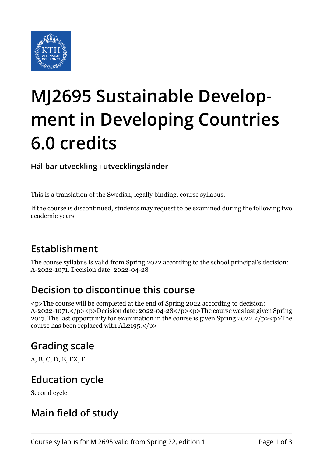

# **MJ2695 Sustainable Development in Developing Countries 6.0 credits**

**Hållbar utveckling i utvecklingsländer**

This is a translation of the Swedish, legally binding, course syllabus.

If the course is discontinued, students may request to be examined during the following two academic years

### **Establishment**

The course syllabus is valid from Spring 2022 according to the school principal's decision: A-2022-1071. Decision date: 2022-04-28

#### **Decision to discontinue this course**

<p>The course will be completed at the end of Spring 2022 according to decision: A-2022-1071.</p><p>Decision date: 2022-04-28</p><p>The course was last given Spring 2017. The last opportunity for examination in the course is given Spring 2022. $\langle p \rangle$  =  $\langle p \rangle$ The course has been replaced with AL2195.</p>

#### **Grading scale**

A, B, C, D, E, FX, F

### **Education cycle**

Second cycle

### **Main field of study**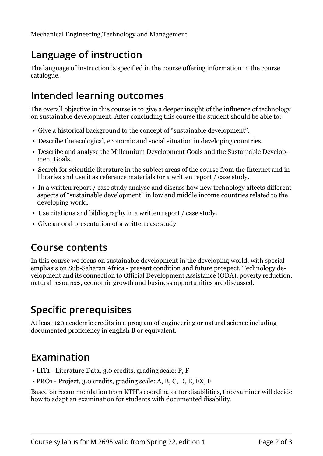## **Language of instruction**

The language of instruction is specified in the course offering information in the course catalogue.

### **Intended learning outcomes**

The overall objective in this course is to give a deeper insight of the influence of technology on sustainable development. After concluding this course the student should be able to:

- Give a historical background to the concept of "sustainable development".
- Describe the ecological, economic and social situation in developing countries.
- Describe and analyse the Millennium Development Goals and the Sustainable Development Goals.
- Search for scientific literature in the subject areas of the course from the Internet and in libraries and use it as reference materials for a written report / case study.
- In a written report / case study analyse and discuss how new technology affects different aspects of "sustainable development" in low and middle income countries related to the developing world.
- Use citations and bibliography in a written report / case study.
- Give an oral presentation of a written case study

#### **Course contents**

In this course we focus on sustainable development in the developing world, with special emphasis on Sub-Saharan Africa - present condition and future prospect. Technology development and its connection to Official Development Assistance (ODA), poverty reduction, natural resources, economic growth and business opportunities are discussed.

## **Specific prerequisites**

At least 120 academic credits in a program of engineering or natural science including documented proficiency in english B or equivalent.

### **Examination**

- LIT1 Literature Data, 3.0 credits, grading scale: P, F
- PRO1 Project, 3.0 credits, grading scale: A, B, C, D, E, FX, F

Based on recommendation from KTH's coordinator for disabilities, the examiner will decide how to adapt an examination for students with documented disability.